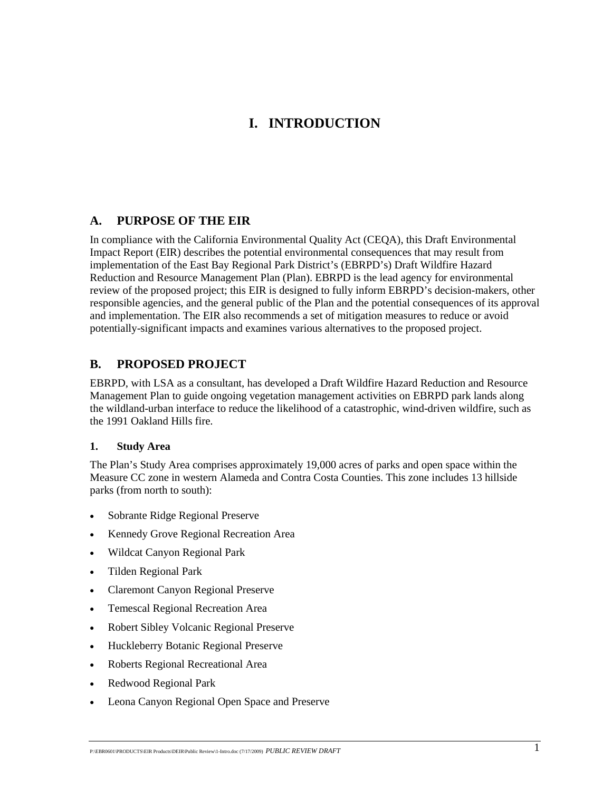# **I. INTRODUCTION**

### **A. PURPOSE OF THE EIR**

In compliance with the California Environmental Quality Act (CEQA), this Draft Environmental Impact Report (EIR) describes the potential environmental consequences that may result from implementation of the East Bay Regional Park District's (EBRPD's) Draft Wildfire Hazard Reduction and Resource Management Plan (Plan). EBRPD is the lead agency for environmental review of the proposed project; this EIR is designed to fully inform EBRPD's decision-makers, other responsible agencies, and the general public of the Plan and the potential consequences of its approval and implementation. The EIR also recommends a set of mitigation measures to reduce or avoid potentially-significant impacts and examines various alternatives to the proposed project.

## **B. PROPOSED PROJECT**

EBRPD, with LSA as a consultant, has developed a Draft Wildfire Hazard Reduction and Resource Management Plan to guide ongoing vegetation management activities on EBRPD park lands along the wildland-urban interface to reduce the likelihood of a catastrophic, wind-driven wildfire, such as the 1991 Oakland Hills fire.

#### **1. Study Area**

The Plan's Study Area comprises approximately 19,000 acres of parks and open space within the Measure CC zone in western Alameda and Contra Costa Counties. This zone includes 13 hillside parks (from north to south):

- Sobrante Ridge Regional Preserve
- Kennedy Grove Regional Recreation Area
- Wildcat Canyon Regional Park
- Tilden Regional Park
- Claremont Canyon Regional Preserve
- Temescal Regional Recreation Area
- Robert Sibley Volcanic Regional Preserve
- Huckleberry Botanic Regional Preserve
- Roberts Regional Recreational Area
- Redwood Regional Park
- Leona Canyon Regional Open Space and Preserve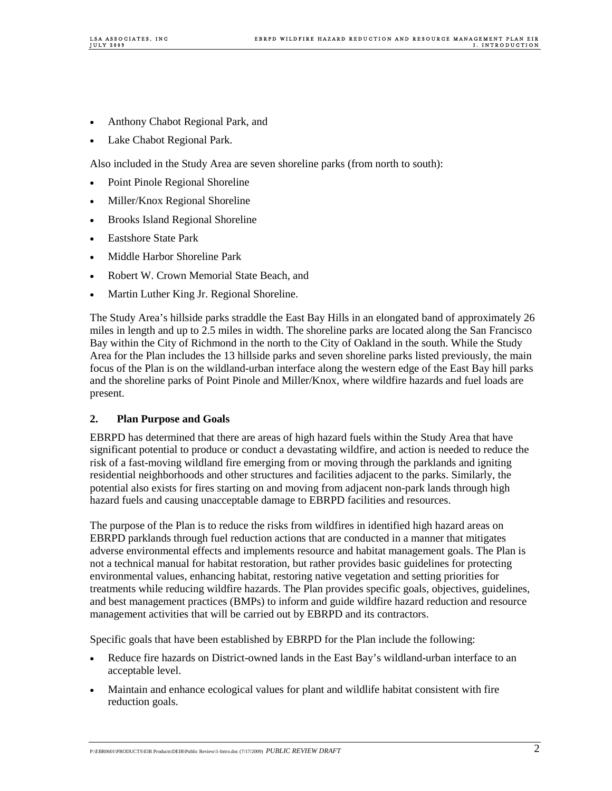- Anthony Chabot Regional Park, and
- Lake Chabot Regional Park.

Also included in the Study Area are seven shoreline parks (from north to south):

- Point Pinole Regional Shoreline
- Miller/Knox Regional Shoreline
- Brooks Island Regional Shoreline
- Eastshore State Park
- Middle Harbor Shoreline Park
- Robert W. Crown Memorial State Beach, and
- Martin Luther King Jr. Regional Shoreline.

The Study Area's hillside parks straddle the East Bay Hills in an elongated band of approximately 26 miles in length and up to 2.5 miles in width. The shoreline parks are located along the San Francisco Bay within the City of Richmond in the north to the City of Oakland in the south. While the Study Area for the Plan includes the 13 hillside parks and seven shoreline parks listed previously, the main focus of the Plan is on the wildland-urban interface along the western edge of the East Bay hill parks and the shoreline parks of Point Pinole and Miller/Knox, where wildfire hazards and fuel loads are present.

#### **2. Plan Purpose and Goals**

EBRPD has determined that there are areas of high hazard fuels within the Study Area that have significant potential to produce or conduct a devastating wildfire, and action is needed to reduce the risk of a fast-moving wildland fire emerging from or moving through the parklands and igniting residential neighborhoods and other structures and facilities adjacent to the parks. Similarly, the potential also exists for fires starting on and moving from adjacent non-park lands through high hazard fuels and causing unacceptable damage to EBRPD facilities and resources.

The purpose of the Plan is to reduce the risks from wildfires in identified high hazard areas on EBRPD parklands through fuel reduction actions that are conducted in a manner that mitigates adverse environmental effects and implements resource and habitat management goals. The Plan is not a technical manual for habitat restoration, but rather provides basic guidelines for protecting environmental values, enhancing habitat, restoring native vegetation and setting priorities for treatments while reducing wildfire hazards. The Plan provides specific goals, objectives, guidelines, and best management practices (BMPs) to inform and guide wildfire hazard reduction and resource management activities that will be carried out by EBRPD and its contractors.

Specific goals that have been established by EBRPD for the Plan include the following:

- Reduce fire hazards on District-owned lands in the East Bay's wildland-urban interface to an acceptable level.
- Maintain and enhance ecological values for plant and wildlife habitat consistent with fire reduction goals.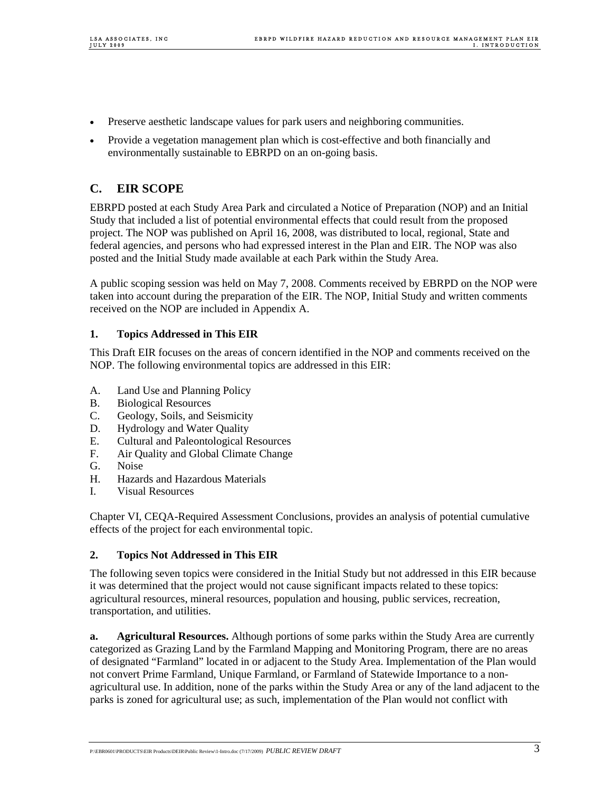- Preserve aesthetic landscape values for park users and neighboring communities.
- Provide a vegetation management plan which is cost-effective and both financially and environmentally sustainable to EBRPD on an on-going basis.

## **C. EIR SCOPE**

EBRPD posted at each Study Area Park and circulated a Notice of Preparation (NOP) and an Initial Study that included a list of potential environmental effects that could result from the proposed project. The NOP was published on April 16, 2008, was distributed to local, regional, State and federal agencies, and persons who had expressed interest in the Plan and EIR. The NOP was also posted and the Initial Study made available at each Park within the Study Area.

A public scoping session was held on May 7, 2008. Comments received by EBRPD on the NOP were taken into account during the preparation of the EIR. The NOP, Initial Study and written comments received on the NOP are included in Appendix A.

### **1. Topics Addressed in This EIR**

This Draft EIR focuses on the areas of concern identified in the NOP and comments received on the NOP. The following environmental topics are addressed in this EIR:

- A. Land Use and Planning Policy
- B. Biological Resources
- C. Geology, Soils, and Seismicity
- D. Hydrology and Water Quality
- E. Cultural and Paleontological Resources
- F. Air Quality and Global Climate Change
- G. Noise
- H. Hazards and Hazardous Materials
- I. Visual Resources

Chapter VI, CEQA-Required Assessment Conclusions, provides an analysis of potential cumulative effects of the project for each environmental topic.

### **2. Topics Not Addressed in This EIR**

The following seven topics were considered in the Initial Study but not addressed in this EIR because it was determined that the project would not cause significant impacts related to these topics: agricultural resources, mineral resources, population and housing, public services, recreation, transportation, and utilities.

**a. Agricultural Resources.** Although portions of some parks within the Study Area are currently categorized as Grazing Land by the Farmland Mapping and Monitoring Program, there are no areas of designated "Farmland" located in or adjacent to the Study Area. Implementation of the Plan would not convert Prime Farmland, Unique Farmland, or Farmland of Statewide Importance to a nonagricultural use. In addition, none of the parks within the Study Area or any of the land adjacent to the parks is zoned for agricultural use; as such, implementation of the Plan would not conflict with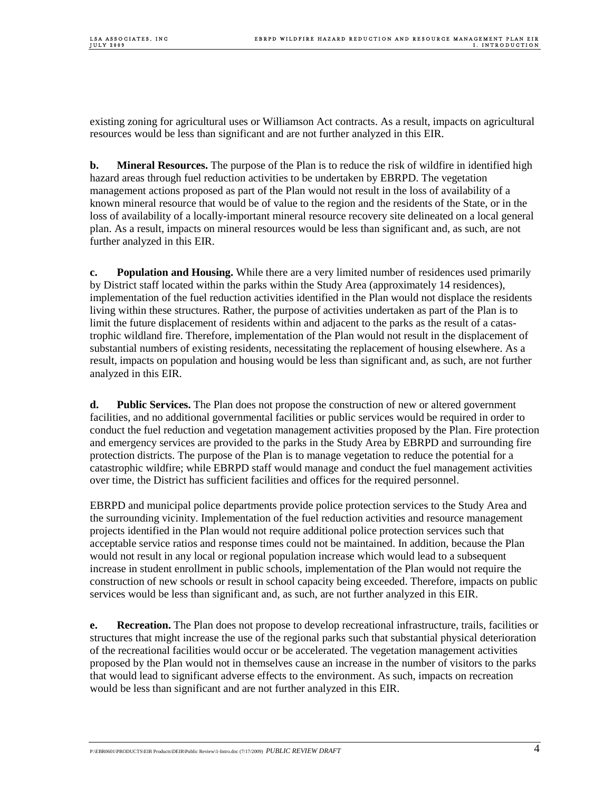existing zoning for agricultural uses or Williamson Act contracts. As a result, impacts on agricultural resources would be less than significant and are not further analyzed in this EIR.

**b.** Mineral Resources. The purpose of the Plan is to reduce the risk of wildfire in identified high hazard areas through fuel reduction activities to be undertaken by EBRPD. The vegetation management actions proposed as part of the Plan would not result in the loss of availability of a known mineral resource that would be of value to the region and the residents of the State, or in the loss of availability of a locally-important mineral resource recovery site delineated on a local general plan. As a result, impacts on mineral resources would be less than significant and, as such, are not further analyzed in this EIR.

**c. Population and Housing.** While there are a very limited number of residences used primarily by District staff located within the parks within the Study Area (approximately 14 residences), implementation of the fuel reduction activities identified in the Plan would not displace the residents living within these structures. Rather, the purpose of activities undertaken as part of the Plan is to limit the future displacement of residents within and adjacent to the parks as the result of a catastrophic wildland fire. Therefore, implementation of the Plan would not result in the displacement of substantial numbers of existing residents, necessitating the replacement of housing elsewhere. As a result, impacts on population and housing would be less than significant and, as such, are not further analyzed in this EIR.

**d. Public Services.** The Plan does not propose the construction of new or altered government facilities, and no additional governmental facilities or public services would be required in order to conduct the fuel reduction and vegetation management activities proposed by the Plan. Fire protection and emergency services are provided to the parks in the Study Area by EBRPD and surrounding fire protection districts. The purpose of the Plan is to manage vegetation to reduce the potential for a catastrophic wildfire; while EBRPD staff would manage and conduct the fuel management activities over time, the District has sufficient facilities and offices for the required personnel.

EBRPD and municipal police departments provide police protection services to the Study Area and the surrounding vicinity. Implementation of the fuel reduction activities and resource management projects identified in the Plan would not require additional police protection services such that acceptable service ratios and response times could not be maintained. In addition, because the Plan would not result in any local or regional population increase which would lead to a subsequent increase in student enrollment in public schools, implementation of the Plan would not require the construction of new schools or result in school capacity being exceeded. Therefore, impacts on public services would be less than significant and, as such, are not further analyzed in this EIR.

**e. Recreation.** The Plan does not propose to develop recreational infrastructure, trails, facilities or structures that might increase the use of the regional parks such that substantial physical deterioration of the recreational facilities would occur or be accelerated. The vegetation management activities proposed by the Plan would not in themselves cause an increase in the number of visitors to the parks that would lead to significant adverse effects to the environment. As such, impacts on recreation would be less than significant and are not further analyzed in this EIR.

P:\EBR0601\PRODUCTS\EIR Products\DEIR\Public Review\1-Intro.doc (7/17/2009) *PUBLIC REVIEW DRAFT* 4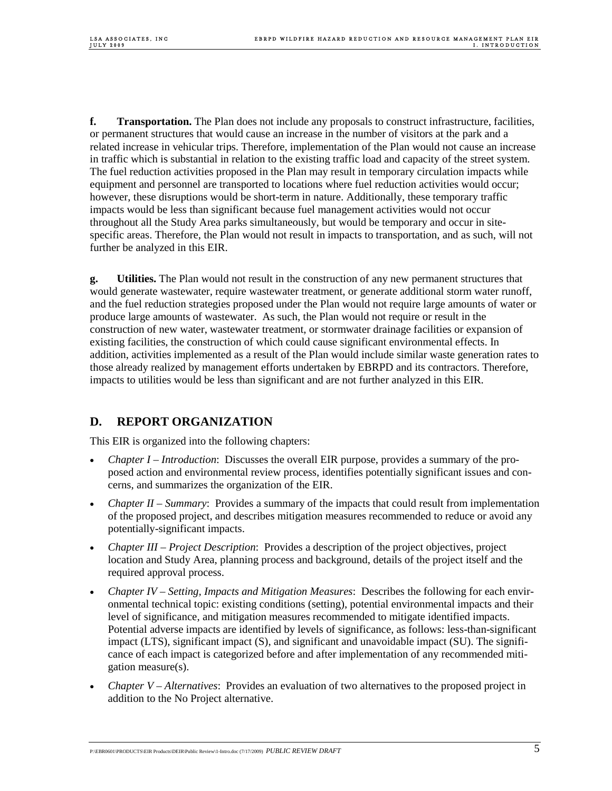**f.** Transportation. The Plan does not include any proposals to construct infrastructure, facilities, or permanent structures that would cause an increase in the number of visitors at the park and a related increase in vehicular trips. Therefore, implementation of the Plan would not cause an increase in traffic which is substantial in relation to the existing traffic load and capacity of the street system. The fuel reduction activities proposed in the Plan may result in temporary circulation impacts while equipment and personnel are transported to locations where fuel reduction activities would occur; however, these disruptions would be short-term in nature. Additionally, these temporary traffic impacts would be less than significant because fuel management activities would not occur throughout all the Study Area parks simultaneously, but would be temporary and occur in sitespecific areas. Therefore, the Plan would not result in impacts to transportation, and as such, will not further be analyzed in this EIR.

**g. Utilities.** The Plan would not result in the construction of any new permanent structures that would generate wastewater, require wastewater treatment, or generate additional storm water runoff, and the fuel reduction strategies proposed under the Plan would not require large amounts of water or produce large amounts of wastewater. As such, the Plan would not require or result in the construction of new water, wastewater treatment, or stormwater drainage facilities or expansion of existing facilities, the construction of which could cause significant environmental effects. In addition, activities implemented as a result of the Plan would include similar waste generation rates to those already realized by management efforts undertaken by EBRPD and its contractors. Therefore, impacts to utilities would be less than significant and are not further analyzed in this EIR.

## **D. REPORT ORGANIZATION**

This EIR is organized into the following chapters:

- *Chapter I Introduction*: Discusses the overall EIR purpose, provides a summary of the proposed action and environmental review process, identifies potentially significant issues and concerns, and summarizes the organization of the EIR.
- *Chapter II Summary*: Provides a summary of the impacts that could result from implementation of the proposed project, and describes mitigation measures recommended to reduce or avoid any potentially-significant impacts.
- *Chapter III Project Description*: Provides a description of the project objectives, project location and Study Area, planning process and background, details of the project itself and the required approval process.
- *Chapter IV Setting, Impacts and Mitigation Measures*: Describes the following for each environmental technical topic: existing conditions (setting), potential environmental impacts and their level of significance, and mitigation measures recommended to mitigate identified impacts. Potential adverse impacts are identified by levels of significance, as follows: less-than-significant impact (LTS), significant impact (S), and significant and unavoidable impact (SU). The significance of each impact is categorized before and after implementation of any recommended mitigation measure(s).
- *Chapter V Alternatives*: Provides an evaluation of two alternatives to the proposed project in addition to the No Project alternative.